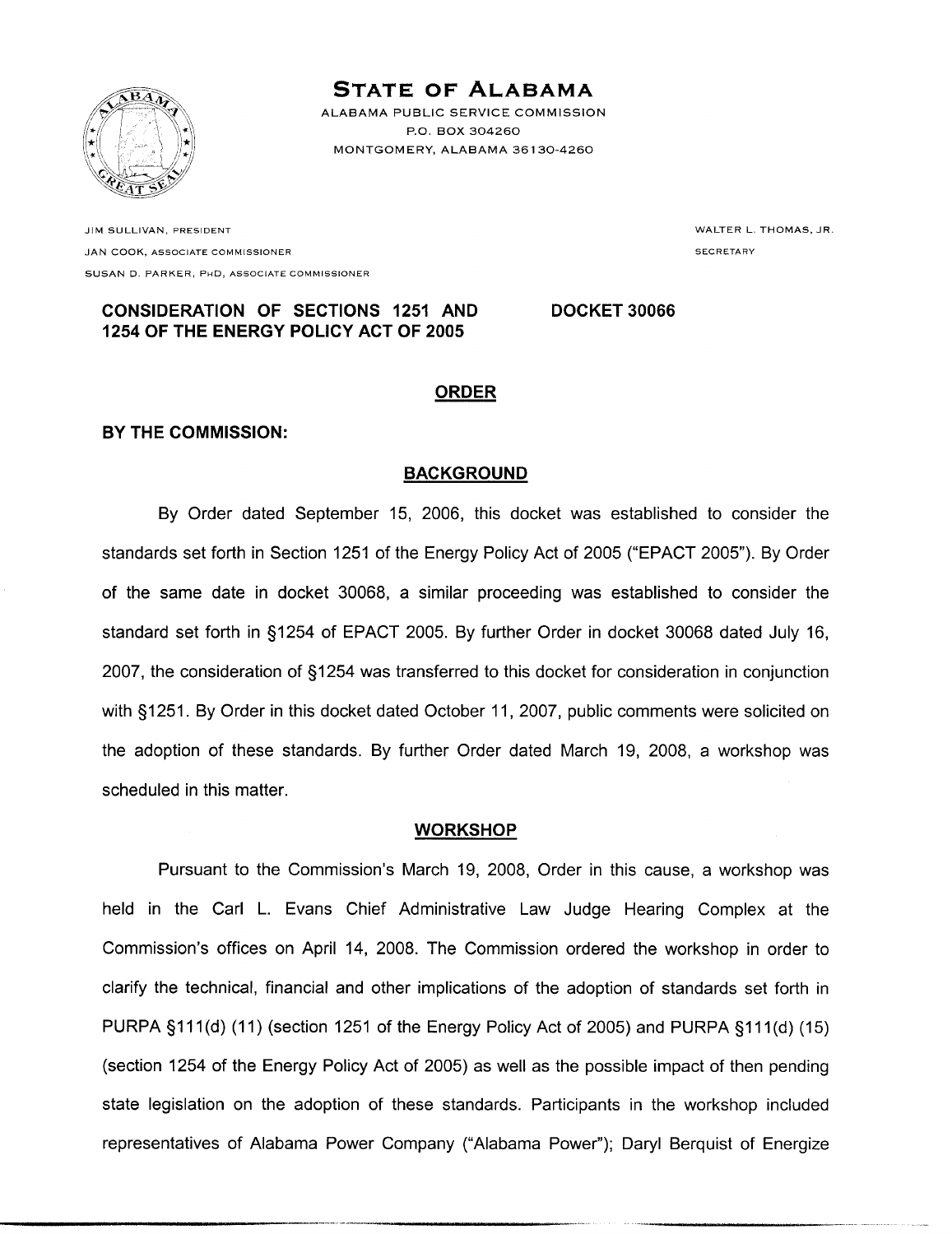

# **STATE OF ALABAMA**

ALABAMA PUBLIC SERVICE COMMISSION P.O. BOX 304260 MONTGOMERY, ALABAMA 36130-4260

JIM SULLIVAN, PRESIDENT **JAN COOK, ASSOCIATE COMMISSIONER** SUSAN D. PARKER, PHD. ASSOCIATE COMMISSIONER WALTER L. THOMAS, JR. **SECRETARY** 

#### **CONSIDERATION OF SECTIONS 1251 AND DOCKET 30066** 1254 OF THE ENERGY POLICY ACT OF 2005

# **ORDER**

# BY THE COMMISSION:

# **BACKGROUND**

By Order dated September 15, 2006, this docket was established to consider the standards set forth in Section 1251 of the Energy Policy Act of 2005 ("EPACT 2005"). By Order of the same date in docket 30068, a similar proceeding was established to consider the standard set forth in §1254 of EPACT 2005. By further Order in docket 30068 dated July 16. 2007, the consideration of §1254 was transferred to this docket for consideration in conjunction with §1251. By Order in this docket dated October 11, 2007, public comments were solicited on the adoption of these standards. By further Order dated March 19, 2008, a workshop was scheduled in this matter.

### **WORKSHOP**

Pursuant to the Commission's March 19, 2008, Order in this cause, a workshop was held in the Carl L. Evans Chief Administrative Law Judge Hearing Complex at the Commission's offices on April 14, 2008. The Commission ordered the workshop in order to clarify the technical, financial and other implications of the adoption of standards set forth in PURPA §111(d) (11) (section 1251 of the Energy Policy Act of 2005) and PURPA §111(d) (15) (section 1254 of the Energy Policy Act of 2005) as well as the possible impact of then pending state legislation on the adoption of these standards. Participants in the workshop included representatives of Alabama Power Company ("Alabama Power"); Daryl Berquist of Energize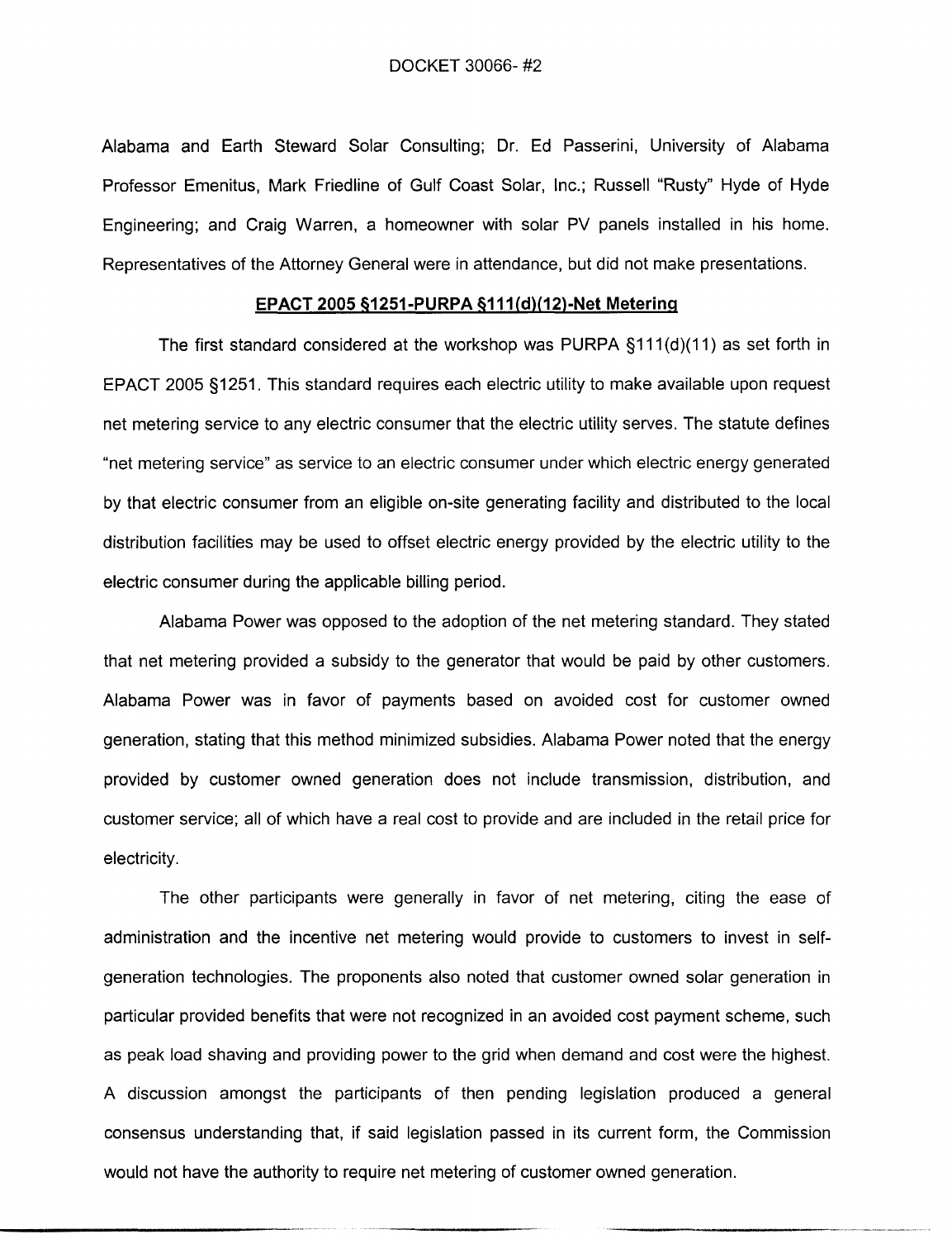Alabama and Earth Steward Solar Consulting; Dr. Ed Passerini, University of Alabama Professor Emenitus, Mark Friedline of Gulf Coast Solar, Inc.; Russell "Rusty" Hyde of Hyde Engineering; and Craig Warren, a homeowner with solar PV panels installed in his home. Representatives of the Attorney General were in attendance, but did not make presentations.

#### EPACT 2005 §1251-PURPA §111(d)(12)-Net Metering

The first standard considered at the workshop was PURPA §111(d)(11) as set forth in EPACT 2005 §1251. This standard requires each electric utility to make available upon request net metering service to any electric consumer that the electric utility serves. The statute defines "net metering service" as service to an electric consumer under which electric energy generated by that electric consumer from an eligible on-site generating facility and distributed to the local distribution facilities may be used to offset electric energy provided by the electric utility to the electric consumer during the applicable billing period.

Alabama Power was opposed to the adoption of the net metering standard. They stated that net metering provided a subsidy to the generator that would be paid by other customers. Alabama Power was in favor of payments based on avoided cost for customer owned generation, stating that this method minimized subsidies. Alabama Power noted that the energy provided by customer owned generation does not include transmission, distribution, and customer service; all of which have a real cost to provide and are included in the retail price for electricity.

The other participants were generally in favor of net metering, citing the ease of administration and the incentive net metering would provide to customers to invest in selfgeneration technologies. The proponents also noted that customer owned solar generation in particular provided benefits that were not recognized in an avoided cost payment scheme, such as peak load shaving and providing power to the grid when demand and cost were the highest. A discussion amongst the participants of then pending legislation produced a general consensus understanding that, if said legislation passed in its current form, the Commission would not have the authority to require net metering of customer owned generation.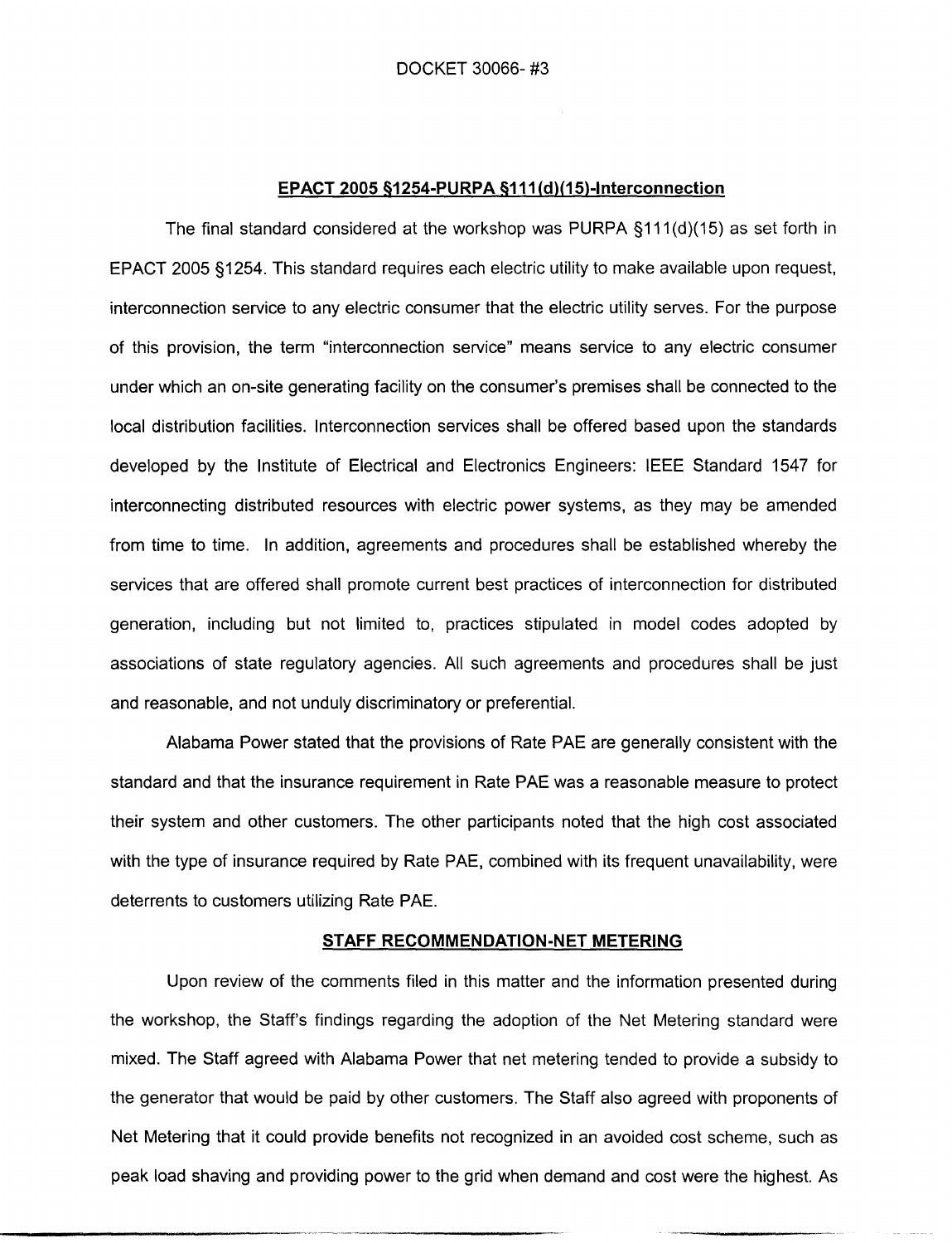#### EPACT 2005 §1254-PURPA §111(d)(15)-Interconnection

The final standard considered at the workshop was PURPA  $\S$ 111(d)(15) as set forth in EPACT 2005 §1254. This standard requires each electric utility to make available upon request, interconnection service to any electric consumer that the electric utility serves. For the purpose of this provision, the term "interconnection service" means service to any electric consumer under which an on-site generating facility on the consumer's premises shall be connected to the local distribution facilities. Interconnection services shall be offered based upon the standards developed by the Institute of Electrical and Electronics Engineers: IEEE Standard 1547 for interconnecting distributed resources with electric power systems, as they may be amended from time to time. In addition, agreements and procedures shall be established whereby the services that are offered shall promote current best practices of interconnection for distributed generation, including but not limited to, practices stipulated in model codes adopted by associations of state regulatory agencies. All such agreements and procedures shall be just and reasonable, and not unduly discriminatory or preferential.

Alabama Power stated that the provisions of Rate PAE are generally consistent with the standard and that the insurance requirement in Rate PAE was a reasonable measure to protect their system and other customers. The other participants noted that the high cost associated with the type of insurance required by Rate PAE, combined with its frequent unavailability, were deterrents to customers utilizing Rate PAE.

#### STAFF RECOMMENDATION-NET METERING

Upon review of the comments filed in this matter and the information presented during the workshop, the Staff's findings regarding the adoption of the Net Metering standard were mixed. The Staff agreed with Alabama Power that net metering tended to provide a subsidy to the generator that would be paid by other customers. The Staff also agreed with proponents of Net Metering that it could provide benefits not recognized in an avoided cost scheme, such as peak load shaving and providing power to the grid when demand and cost were the highest. As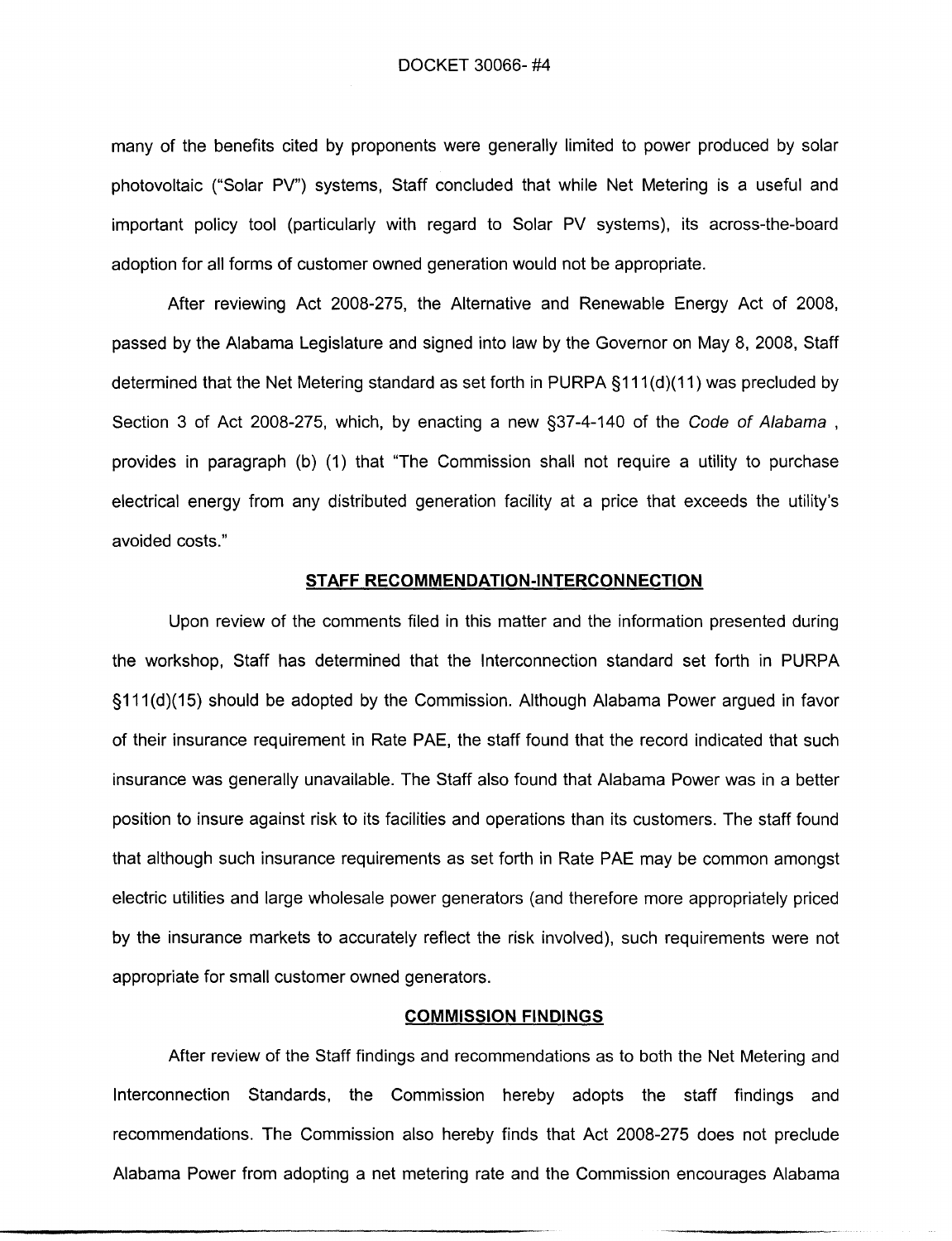many of the benefits cited by proponents were generally limited to power produced by solar photovoltaic ("Solar PV") systems. Staff concluded that while Net Metering is a useful and important policy tool (particularly with regard to Solar PV systems), its across-the-board adoption for all forms of customer owned generation would not be appropriate.

After reviewing Act 2008-275, the Alternative and Renewable Energy Act of 2008, passed by the Alabama Legislature and signed into law by the Governor on May 8, 2008, Staff determined that the Net Metering standard as set forth in PURPA §111(d)(11) was precluded by Section 3 of Act 2008-275, which, by enacting a new §37-4-140 of the Code of Alabama, provides in paragraph (b) (1) that "The Commission shall not require a utility to purchase electrical energy from any distributed generation facility at a price that exceeds the utility's avoided costs."

#### STAFF RECOMMENDATION-INTERCONNECTION

Upon review of the comments filed in this matter and the information presented during the workshop, Staff has determined that the Interconnection standard set forth in PURPA §111(d)(15) should be adopted by the Commission. Although Alabama Power argued in favor of their insurance requirement in Rate PAE, the staff found that the record indicated that such insurance was generally unavailable. The Staff also found that Alabama Power was in a better position to insure against risk to its facilities and operations than its customers. The staff found that although such insurance requirements as set forth in Rate PAE may be common amongst electric utilities and large wholesale power generators (and therefore more appropriately priced by the insurance markets to accurately reflect the risk involved), such requirements were not appropriate for small customer owned generators.

#### **COMMISSION FINDINGS**

After review of the Staff findings and recommendations as to both the Net Metering and Interconnection Standards, the Commission hereby adopts the staff findings and recommendations. The Commission also hereby finds that Act 2008-275 does not preclude Alabama Power from adopting a net metering rate and the Commission encourages Alabama